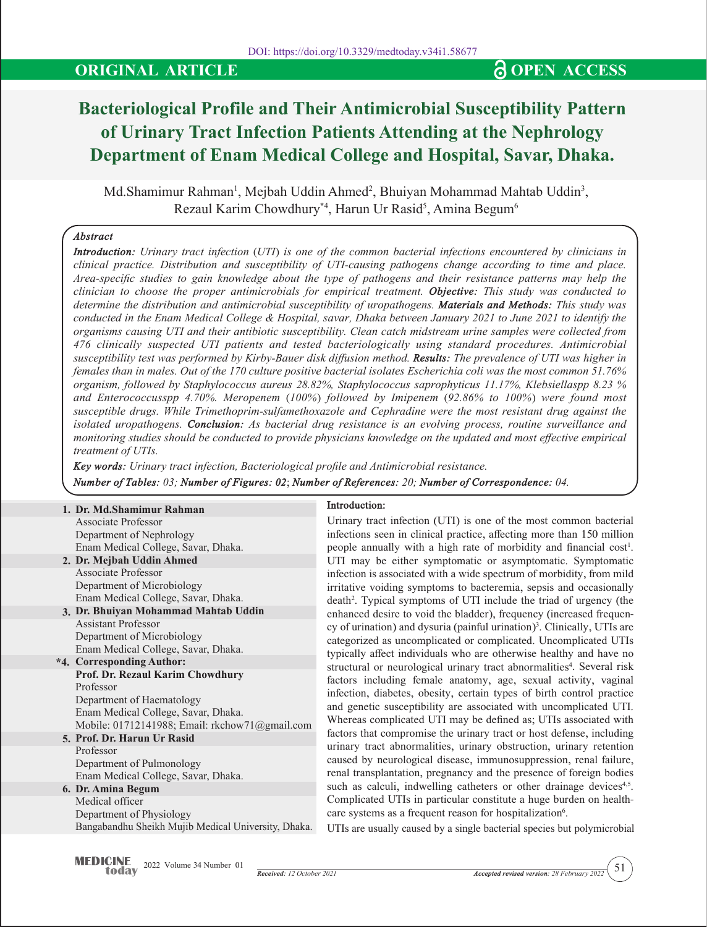# **ORIGINAL ARTICLE CONSERVANT AND SOME ACCESS**

# **Bacteriological Profile and Their Antimicrobial Susceptibility Pattern of Urinary Tract Infection Patients Attending at the Nephrology Department of Enam Medical College and Hospital, Savar, Dhaka.**

Md.Shamimur Rahman<sup>1</sup>, Mejbah Uddin Ahmed<sup>2</sup>, Bhuiyan Mohammad Mahtab Uddin<sup>3</sup>, Rezaul Karim Chowdhury\*<sup>4</sup>, Harun Ur Rasid<sup>5</sup>, Amina Begum<sup>6</sup>

## *Abstract*

*Introduction: Urinary tract infection (UTI) is one of the common bacterial infections encountered by clinicians in clinical practice. Distribution and susceptibility of UTI-causing pathogens change according to time and place. Area-specific studies to gain knowledge about the type of pathogens and their resistance patterns may help the clinician to choose the proper antimicrobials for empirical treatment. Objective: This study was conducted to determine the distribution and antimicrobial susceptibility of uropathogens. Materials and Methods: This study was conducted in the Enam Medical College & Hospital, savar, Dhaka between January 2021 to June 2021 to identify the organisms causing UTI and their antibiotic susceptibility. Clean catch midstream urine samples were collected from 476 clinically suspected UTI patients and tested bacteriologically using standard procedures. Antimicrobial susceptibility test was performed by Kirby-Bauer disk diffusion method. Results: The prevalence of UTI was higher in females than in males. Out of the 170 culture positive bacterial isolates Escherichia coli was the most common 51.76% organism, followed by Staphylococcus aureus 28.82%, Staphylococcus saprophyticus 11.17%, Klebsiellaspp 8.23 % and Enterococcusspp 4.70%. Meropenem (100%) followed by Imipenem (92.86% to 100%) were found most susceptible drugs. While Trimethoprim-sulfamethoxazole and Cephradine were the most resistant drug against the isolated uropathogens. Conclusion: As bacterial drug resistance is an evolving process, routine surveillance and monitoring studies should be conducted to provide physicians knowledge on the updated and most effective empirical treatment of UTIs.*

*Key words: Urinary tract infection, Bacteriological profile and Antimicrobial resistance. Number of Tables: 03; Number of Figures: 02*; *Number of References: 20; Number of Correspondence: 04.*

| 1. Dr. Md. Shamimur Rahman                          | In             |
|-----------------------------------------------------|----------------|
| Associate Professor                                 | U              |
| Department of Nephrology                            | in             |
| Enam Medical College, Savar, Dhaka.                 | pe             |
| 2. Dr. Mejbah Uddin Ahmed                           | U              |
| Associate Professor                                 | in             |
| Department of Microbiology                          | in             |
| Enam Medical College, Savar, Dhaka.                 | d              |
| 3. Dr. Bhuiyan Mohammad Mahtab Uddin                | er             |
| <b>Assistant Professor</b>                          | c <sub>y</sub> |
| Department of Microbiology                          | ca             |
| Enam Medical College, Savar, Dhaka.                 | ty             |
| *4. Corresponding Author:                           | st             |
| Prof. Dr. Rezaul Karim Chowdhury                    | fa             |
| Professor                                           | in             |
| Department of Haematology                           |                |
| Enam Medical College, Savar, Dhaka.                 | ar             |
| Mobile: 01712141988; Email: rkchow71@gmail.com      | W              |
| 5. Prof. Dr. Harun Ur Rasid                         | fa             |
| Professor                                           | uı             |
| Department of Pulmonology                           | ca             |
| Enam Medical College, Savar, Dhaka.                 | re             |
| 6. Dr. Amina Begum                                  | SU             |
| Medical officer                                     | С              |
| Department of Physiology                            | ca             |
| Bangabandhu Sheikh Mujib Medical University, Dhaka. | U              |

#### **Introduction:**

Urinary tract infection (UTI) is one of the most common bacterial infections seen in clinical practice, affecting more than 150 million people annually with a high rate of morbidity and financial  $cost<sup>1</sup>$ . TI may be either symptomatic or asymptomatic. Symptomatic fection is associated with a wide spectrum of morbidity, from mild ritative voiding symptoms to bacteremia, sepsis and occasionally death2 . Typical symptoms of UTI include the triad of urgency (the hanced desire to void the bladder), frequency (increased frequency of urination) and dysuria (painful urination)<sup>3</sup>. Clinically, UTIs are ategorized as uncomplicated or complicated. Uncomplicated UTIs pically affect individuals who are otherwise healthy and have no structural or neurological urinary tract abnormalities<sup>4</sup>. Several risk factors including female anatomy, age, sexual activity, vaginal fection, diabetes, obesity, certain types of birth control practice and genetic susceptibility are associated with uncomplicated UTI. Whereas complicated UTI may be defined as; UTIs associated with factors that compromise the urinary tract or host defense, including rinary tract abnormalities, urinary obstruction, urinary retention aused by neurological disease, immunosuppression, renal failure, enal transplantation, pregnancy and the presence of foreign bodies ach as calculi, indwelling catheters or other drainage devices<sup>4,5</sup>. Complicated UTIs in particular constitute a huge burden on healthcare systems as a frequent reason for hospitalization<sup>6</sup>.

UTIs are usually caused by a single bacterial species but polymicrobial

51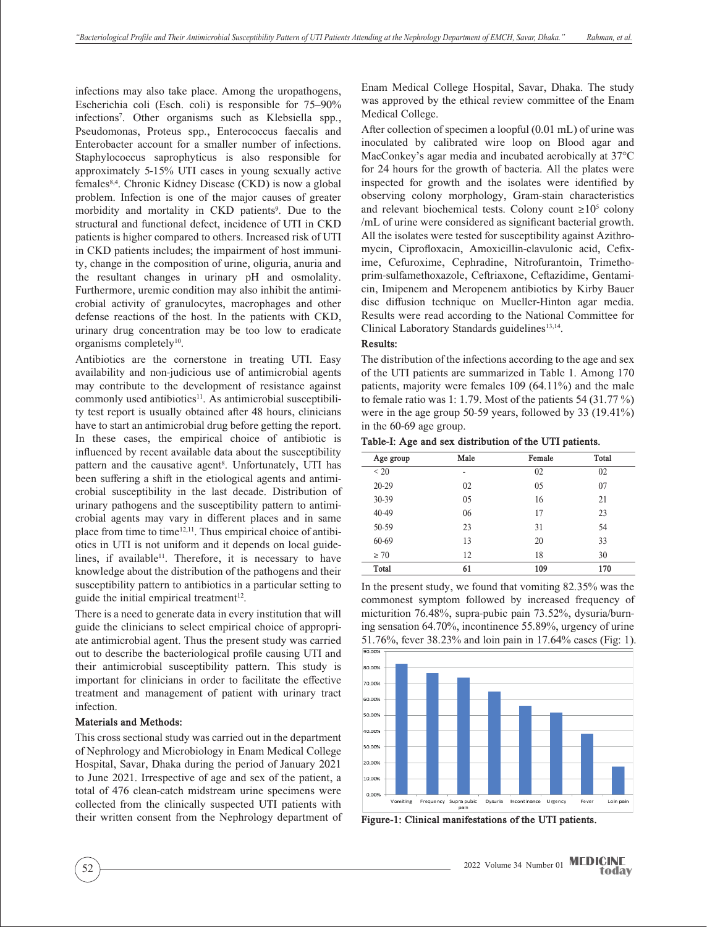infections may also take place. Among the uropathogens, Escherichia coli (Esch. coli) is responsible for 75–90% infections7 . Other organisms such as Klebsiella spp., Pseudomonas, Proteus spp., Enterococcus faecalis and Enterobacter account for a smaller number of infections. Staphylococcus saprophyticus is also responsible for approximately 5-15% UTI cases in young sexually active females8,4. Chronic Kidney Disease (CKD) is now a global problem. Infection is one of the major causes of greater morbidity and mortality in CKD patients<sup>9</sup>. Due to the structural and functional defect, incidence of UTI in CKD patients is higher compared to others. Increased risk of UTI in CKD patients includes; the impairment of host immunity, change in the composition of urine, oliguria, anuria and the resultant changes in urinary pH and osmolality. Furthermore, uremic condition may also inhibit the antimicrobial activity of granulocytes, macrophages and other defense reactions of the host. In the patients with CKD, urinary drug concentration may be too low to eradicate organisms completely<sup>10</sup>.

Antibiotics are the cornerstone in treating UTI. Easy availability and non-judicious use of antimicrobial agents may contribute to the development of resistance against commonly used antibiotics<sup>11</sup>. As antimicrobial susceptibility test report is usually obtained after 48 hours, clinicians have to start an antimicrobial drug before getting the report. In these cases, the empirical choice of antibiotic is influenced by recent available data about the susceptibility pattern and the causative agent<sup>8</sup>. Unfortunately, UTI has been suffering a shift in the etiological agents and antimicrobial susceptibility in the last decade. Distribution of urinary pathogens and the susceptibility pattern to antimicrobial agents may vary in different places and in same place from time to time $12,11$ . Thus empirical choice of antibiotics in UTI is not uniform and it depends on local guidelines, if available<sup>11</sup>. Therefore, it is necessary to have knowledge about the distribution of the pathogens and their susceptibility pattern to antibiotics in a particular setting to guide the initial empirical treatment $12$ .

There is a need to generate data in every institution that will guide the clinicians to select empirical choice of appropriate antimicrobial agent. Thus the present study was carried out to describe the bacteriological profile causing UTI and their antimicrobial susceptibility pattern. This study is important for clinicians in order to facilitate the effective treatment and management of patient with urinary tract infection.

#### **Materials and Methods:**

This cross sectional study was carried out in the department of Nephrology and Microbiology in Enam Medical College Hospital, Savar, Dhaka during the period of January 2021 to June 2021. Irrespective of age and sex of the patient, a total of 476 clean-catch midstream urine specimens were collected from the clinically suspected UTI patients with their written consent from the Nephrology department of Enam Medical College Hospital, Savar, Dhaka. The study was approved by the ethical review committee of the Enam Medical College.

After collection of specimen a loopful (0.01 mL) of urine was inoculated by calibrated wire loop on Blood agar and MacConkey's agar media and incubated aerobically at 37°C for 24 hours for the growth of bacteria. All the plates were inspected for growth and the isolates were identified by observing colony morphology, Gram-stain characteristics and relevant biochemical tests. Colony count ≥10<sup>5</sup> colony /mL of urine were considered as significant bacterial growth. All the isolates were tested for susceptibility against Azithromycin, Ciprofloxacin, Amoxicillin-clavulonic acid, Cefixime, Cefuroxime, Cephradine, Nitrofurantoin, Trimethoprim-sulfamethoxazole, Ceftriaxone, Ceftazidime, Gentamicin, Imipenem and Meropenem antibiotics by Kirby Bauer disc diffusion technique on Mueller-Hinton agar media. Results were read according to the National Committee for Clinical Laboratory Standards guidelines<sup>13,14</sup>.

#### **Results:**

The distribution of the infections according to the age and sex of the UTI patients are summarized in Table 1. Among 170 patients, majority were females 109 (64.11%) and the male to female ratio was 1: 1.79. Most of the patients 54 (31.77  $\%$ ) were in the age group 50-59 years, followed by 33 (19.41%) in the 60-69 age group.

**Table-I: Age and sex distribution of the UTI patients.**

| Age group | Male | Female | Total |
|-----------|------|--------|-------|
| ${}_{20}$ | ٠    | 02     | 02    |
| $20 - 29$ | 02   | 05     | 07    |
| $30 - 39$ | 05   | 16     | 21    |
| $40 - 49$ | 06   | 17     | 23    |
| 50-59     | 23   | 31     | 54    |
| 60-69     | 13   | 20     | 33    |
| $\geq 70$ | 12   | 18     | 30    |
| Total     | 61   | 109    | 170   |

In the present study, we found that vomiting 82.35% was the commonest symptom followed by increased frequency of micturition 76.48%, supra-pubic pain 73.52%, dysuria/burning sensation 64.70%, incontinence 55.89%, urgency of urine 51.76%, fever 38.23% and loin pain in 17.64% cases (Fig: 1).



**Figure-1: Clinical manifestations of the UTI patients.**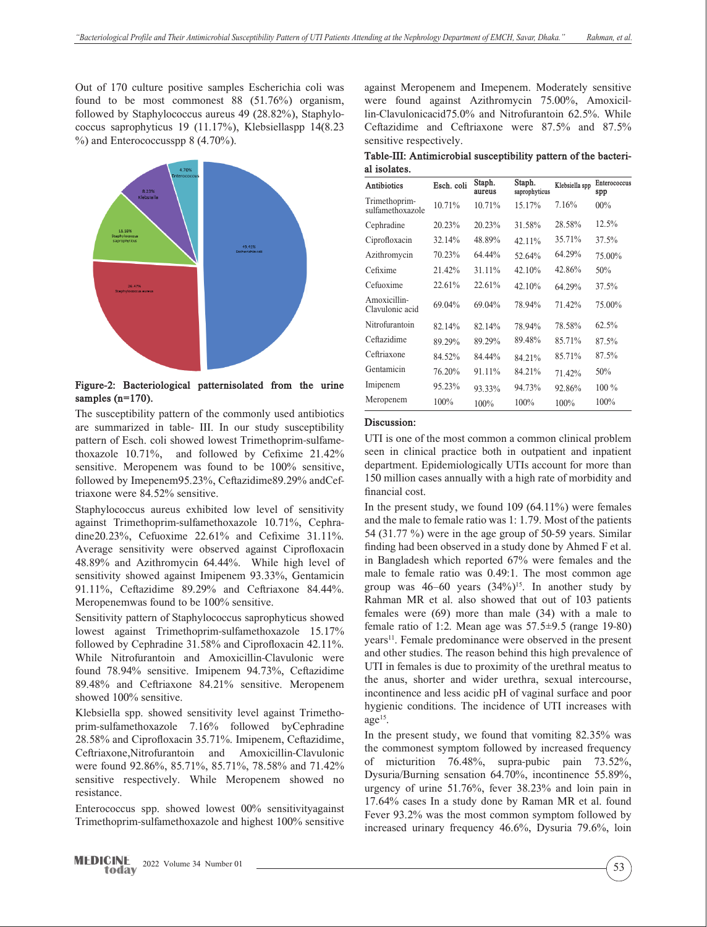Out of 170 culture positive samples Escherichia coli was found to be most commonest 88 (51.76%) organism, followed by Staphylococcus aureus 49 (28.82%), Staphylococcus saprophyticus 19 (11.17%), Klebsiellaspp 14(8.23  $%$ ) and Enterococcusspp 8 (4.70%).



**Figure-2: Bacteriological patternisolated from the urine samples (n=170).**

The susceptibility pattern of the commonly used antibiotics are summarized in table- III. In our study susceptibility pattern of Esch. coli showed lowest Trimethoprim-sulfamethoxazole 10.71%, and followed by Cefixime 21.42% sensitive. Meropenem was found to be 100% sensitive, followed by Imepenem95.23%, Ceftazidime89.29% andCeftriaxone were 84.52% sensitive.

Staphylococcus aureus exhibited low level of sensitivity against Trimethoprim-sulfamethoxazole 10.71%, Cephradine20.23%, Cefuoxime 22.61% and Cefixime 31.11%. Average sensitivity were observed against Ciprofloxacin 48.89% and Azithromycin 64.44%. While high level of sensitivity showed against Imipenem 93.33%, Gentamicin 91.11%, Ceftazidime 89.29% and Ceftriaxone 84.44%. Meropenemwas found to be 100% sensitive.

Sensitivity pattern of Staphylococcus saprophyticus showed lowest against Trimethoprim-sulfamethoxazole 15.17% followed by Cephradine 31.58% and Ciprofloxacin 42.11%. While Nitrofurantoin and Amoxicillin-Clavulonic were found 78.94% sensitive. Imipenem 94.73%, Ceftazidime 89.48% and Ceftriaxone 84.21% sensitive. Meropenem showed 100% sensitive.

Klebsiella spp. showed sensitivity level against Trimethoprim-sulfamethoxazole 7.16% followed byCephradine 28.58% and Ciprofloxacin 35.71%. Imipenem, Ceftazidime, Ceftriaxone,Nitrofurantoin and Amoxicillin-Clavulonic were found 92.86%, 85.71%, 85.71%, 78.58% and 71.42% sensitive respectively. While Meropenem showed no resistance.

Enterococcus spp. showed lowest 00% sensitivityagainst Trimethoprim-sulfamethoxazole and highest 100% sensitive against Meropenem and Imepenem. Moderately sensitive were found against Azithromycin 75.00%, Amoxicillin-Clavulonicacid75.0% and Nitrofurantoin 62.5%. While Ceftazidime and Ceftriaxone were 87.5% and 87.5% sensitive respectively.

**Table-III: Antimicrobial susceptibility pattern of the bacterial isolates.**

| Antibiotics                       | Esch. coli | Staph.<br>aureus | Staph.<br>saprophyticus | Klebsiella spp | Enterococcus<br>spp |
|-----------------------------------|------------|------------------|-------------------------|----------------|---------------------|
| Trimethoprim-<br>sulfamethoxazole | 10.71%     | 10.71%           | 15.17%                  | 7.16%          | $00\%$              |
| Cephradine                        | 20.23%     | 20.23%           | 31.58%                  | 28.58%         | 12.5%               |
| Ciprofloxacin                     | 32.14%     | 48.89%           | 42.11%                  | 35.71%         | 37.5%               |
| Azithromycin                      | 70.23%     | 64.44%           | 52.64%                  | 64.29%         | 75.00%              |
| Cefixime                          | 21.42%     | 31.11%           | 42.10%                  | 42.86%         | 50%                 |
| Cefuoxime                         | 22.61%     | 22.61%           | 42.10%                  | 64.29%         | 37.5%               |
| Amoxicillin-<br>Clavulonic acid   | 69.04%     | 69.04%           | 78.94%                  | 71.42%         | 75.00%              |
| Nitrofurantoin                    | 82.14%     | 82.14%           | 78.94%                  | 78.58%         | 62.5%               |
| Ceftazidime                       | 89.29%     | 89.29%           | 89.48%                  | 85.71%         | 87.5%               |
| Ceftriaxone                       | 84.52%     | 84.44%           | 84.21%                  | 85.71%         | 87.5%               |
| Gentamicin                        | 76.20%     | 91.11%           | 84.21%                  | 71.42%         | 50%                 |
| Imipenem                          | 95.23%     | 93.33%           | 94.73%                  | 92.86%         | $100\%$             |
| Meropenem                         | 100%       | 100%             | 100%                    | 100%           | 100%                |

#### **Discussion:**

UTI is one of the most common a common clinical problem seen in clinical practice both in outpatient and inpatient department. Epidemiologically UTIs account for more than 150 million cases annually with a high rate of morbidity and financial cost.

In the present study, we found  $109(64.11\%)$  were females and the male to female ratio was 1: 1.79. Most of the patients 54 (31.77 %) were in the age group of 50-59 years. Similar finding had been observed in a study done by Ahmed F et al. in Bangladesh which reported 67% were females and the male to female ratio was 0.49:1. The most common age group was  $46-60$  years  $(34\%)^{15}$ . In another study by Rahman MR et al. also showed that out of 103 patients females were (69) more than male (34) with a male to female ratio of 1:2. Mean age was  $57.5\pm9.5$  (range 19-80) years<sup>11</sup>. Female predominance were observed in the present and other studies. The reason behind this high prevalence of UTI in females is due to proximity of the urethral meatus to the anus, shorter and wider urethra, sexual intercourse, incontinence and less acidic pH of vaginal surface and poor hygienic conditions. The incidence of UTI increases with  $age<sup>15</sup>$ .

In the present study, we found that vomiting 82.35% was the commonest symptom followed by increased frequency of micturition 76.48%, supra-pubic pain 73.52%, Dysuria/Burning sensation 64.70%, incontinence 55.89%, urgency of urine 51.76%, fever 38.23% and loin pain in 17.64% cases In a study done by Raman MR et al. found Fever 93.2% was the most common symptom followed by increased urinary frequency 46.6%, Dysuria 79.6%, loin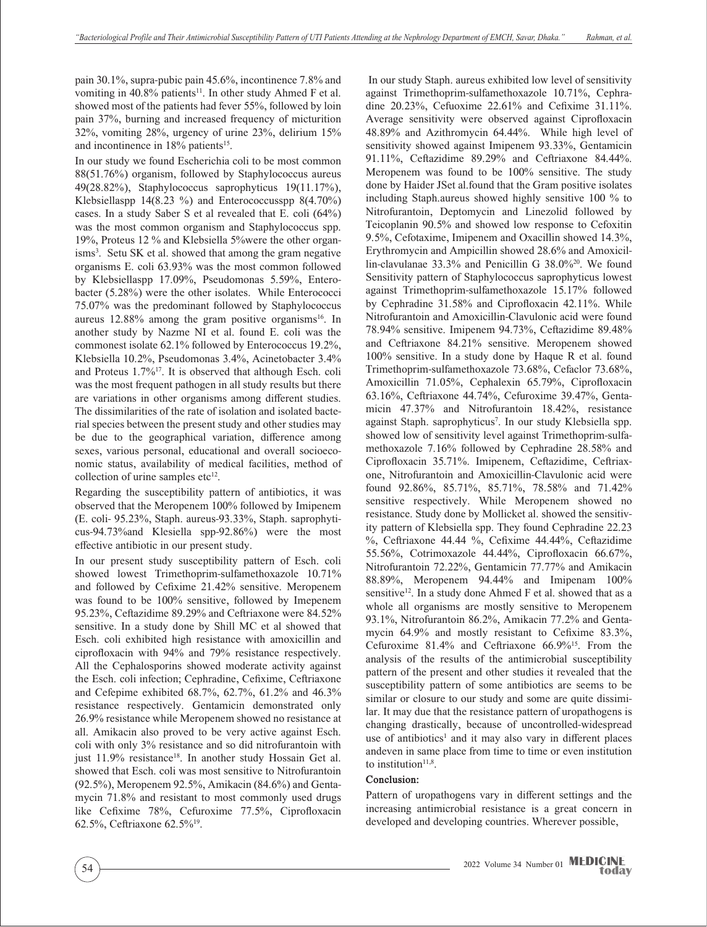pain 30.1%, supra-pubic pain 45.6%, incontinence 7.8% and vomiting in 40.8% patients<sup>11</sup>. In other study Ahmed F et al. showed most of the patients had fever 55%, followed by loin pain 37%, burning and increased frequency of micturition 32%, vomiting 28%, urgency of urine 23%, delirium 15% and incontinence in  $18\%$  patients<sup>15</sup>.

In our study we found Escherichia coli to be most common 88(51.76%) organism, followed by Staphylococcus aureus 49(28.82%), Staphylococcus saprophyticus 19(11.17%), Klebsiellaspp 14(8.23 %) and Enterococcusspp 8(4.70%) cases. In a study Saber S et al revealed that E. coli (64%) was the most common organism and Staphylococcus spp. 19%, Proteus 12 % and Klebsiella 5%were the other organisms<sup>3</sup>. Setu SK et al. showed that among the gram negative organisms E. coli 63.93% was the most common followed by Klebsiellaspp 17.09%, Pseudomonas 5.59%, Enterobacter (5.28%) were the other isolates. While Enterococci 75.07% was the predominant followed by Staphylococcus aureus  $12.88\%$  among the gram positive organisms<sup>16</sup>. In another study by Nazme NI et al. found E. coli was the commonest isolate 62.1% followed by Enterococcus 19.2%, Klebsiella 10.2%, Pseudomonas 3.4%, Acinetobacter 3.4% and Proteus 1.7%17. It is observed that although Esch. coli was the most frequent pathogen in all study results but there are variations in other organisms among different studies. The dissimilarities of the rate of isolation and isolated bacterial species between the present study and other studies may be due to the geographical variation, difference among sexes, various personal, educational and overall socioeconomic status, availability of medical facilities, method of collection of urine samples  $etc<sup>12</sup>$ .

Regarding the susceptibility pattern of antibiotics, it was observed that the Meropenem 100% followed by Imipenem (E. coli- 95.23%, Staph. aureus-93.33%, Staph. saprophyticus-94.73%and Klesiella spp-92.86%) were the most effective antibiotic in our present study.

In our present study susceptibility pattern of Esch. coli showed lowest Trimethoprim-sulfamethoxazole 10.71% and followed by Cefixime 21.42% sensitive. Meropenem was found to be 100% sensitive, followed by Imepenem 95.23%, Ceftazidime 89.29% and Ceftriaxone were 84.52% sensitive. In a study done by Shill MC et al showed that Esch. coli exhibited high resistance with amoxicillin and ciprofloxacin with 94% and 79% resistance respectively. All the Cephalosporins showed moderate activity against the Esch. coli infection; Cephradine, Cefixime, Ceftriaxone and Cefepime exhibited 68.7%, 62.7%, 61.2% and 46.3% resistance respectively. Gentamicin demonstrated only 26.9% resistance while Meropenem showed no resistance at all. Amikacin also proved to be very active against Esch. coli with only 3% resistance and so did nitrofurantoin with just 11.9% resistance<sup>18</sup>. In another study Hossain Get al. showed that Esch. coli was most sensitive to Nitrofurantoin (92.5%), Meropenem 92.5%, Amikacin (84.6%) and Gentamycin 71.8% and resistant to most commonly used drugs like Cefixime 78%, Cefuroxime 77.5%, Ciprofloxacin 62.5%, Ceftriaxone 62.5%19.

 In our study Staph. aureus exhibited low level of sensitivity against Trimethoprim-sulfamethoxazole 10.71%, Cephradine 20.23%, Cefuoxime 22.61% and Cefixime 31.11%. Average sensitivity were observed against Ciprofloxacin 48.89% and Azithromycin 64.44%. While high level of sensitivity showed against Imipenem 93.33%, Gentamicin 91.11%, Ceftazidime 89.29% and Ceftriaxone 84.44%. Meropenem was found to be 100% sensitive. The study done by Haider JSet al.found that the Gram positive isolates including Staph.aureus showed highly sensitive 100 % to Nitrofurantoin, Deptomycin and Linezolid followed by Teicoplanin 90.5% and showed low response to Cefoxitin 9.5%, Cefotaxime, Imipenem and Oxacillin showed 14.3%, Erythromycin and Ampicillin showed 28.6% and Amoxicillin-clavulanae 33.3% and Penicillin G 38.0%20. We found Sensitivity pattern of Staphylococcus saprophyticus lowest against Trimethoprim-sulfamethoxazole 15.17% followed by Cephradine 31.58% and Ciprofloxacin 42.11%. While Nitrofurantoin and Amoxicillin-Clavulonic acid were found 78.94% sensitive. Imipenem 94.73%, Ceftazidime 89.48% and Ceftriaxone 84.21% sensitive. Meropenem showed 100% sensitive. In a study done by Haque R et al. found Trimethoprim-sulfamethoxazole 73.68%, Cefaclor 73.68%, Amoxicillin 71.05%, Cephalexin 65.79%, Ciprofloxacin 63.16%, Ceftriaxone 44.74%, Cefuroxime 39.47%, Gentamicin 47.37% and Nitrofurantoin 18.42%, resistance against Staph. saprophyticus7 . In our study Klebsiella spp. showed low of sensitivity level against Trimethoprim-sulfamethoxazole 7.16% followed by Cephradine 28.58% and Ciprofloxacin 35.71%. Imipenem, Ceftazidime, Ceftriaxone, Nitrofurantoin and Amoxicillin-Clavulonic acid were found 92.86%, 85.71%, 85.71%, 78.58% and 71.42% sensitive respectively. While Meropenem showed no resistance. Study done by Mollicket al. showed the sensitivity pattern of Klebsiella spp. They found Cephradine 22.23 %, Ceftriaxone 44.44 %, Cefixime 44.44%, Ceftazidime 55.56%, Cotrimoxazole 44.44%, Ciprofloxacin 66.67%, Nitrofurantoin 72.22%, Gentamicin 77.77% and Amikacin 88.89%, Meropenem 94.44% and Imipenam 100% sensitive<sup>12</sup>. In a study done Ahmed F et al. showed that as a whole all organisms are mostly sensitive to Meropenem 93.1%, Nitrofurantoin 86.2%, Amikacin 77.2% and Gentamycin 64.9% and mostly resistant to Cefixime 83.3%, Cefuroxime 81.4% and Ceftriaxone 66.9%15. From the analysis of the results of the antimicrobial susceptibility pattern of the present and other studies it revealed that the susceptibility pattern of some antibiotics are seems to be similar or closure to our study and some are quite dissimilar. It may due that the resistance pattern of uropathogens is changing drastically, because of uncontrolled-widespread use of antibiotics<sup>1</sup> and it may also vary in different places andeven in same place from time to time or even institution to institution $11,8$ .

#### **Conclusion:**

Pattern of uropathogens vary in different settings and the increasing antimicrobial resistance is a great concern in developed and developing countries. Wherever possible,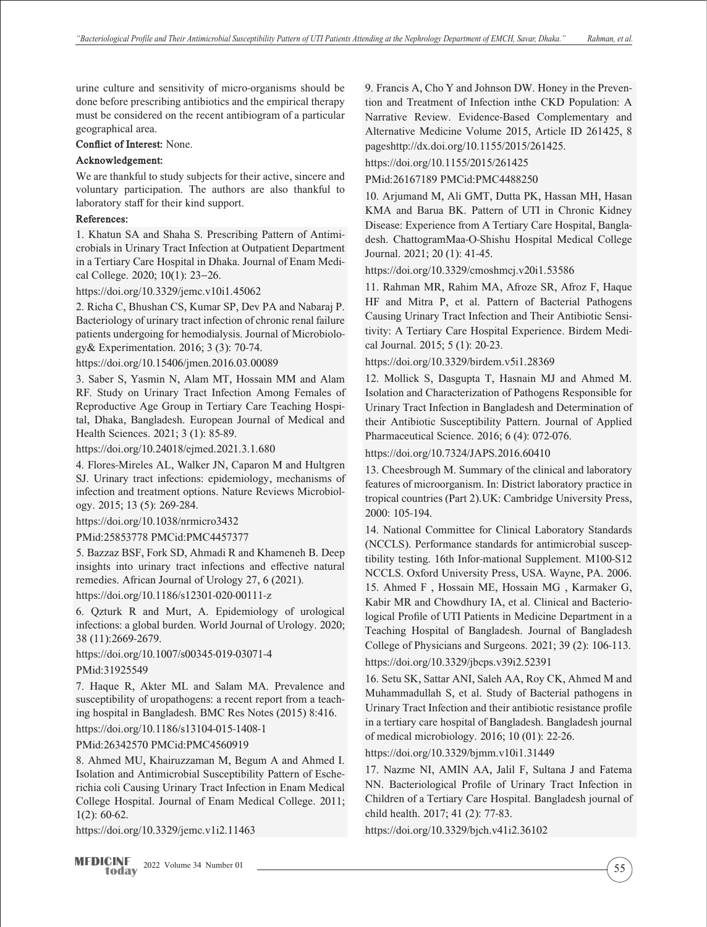urine culture and sensitivity of micro-organisms should be done before prescribing antibiotics and the empirical therapy must be considered on the recent antibiogram of a particular geographical area.

**Conflict of Interest:** None.

#### **Acknowledgement:**

We are thankful to study subjects for their active, sincere and voluntary participation. The authors are also thankful to laboratory staff for their kind support.

#### **References:**

1. Khatun SA and Shaha S. Prescribing Pattern of Antimicrobials in Urinary Tract Infection at Outpatient Department in a Tertiary Care Hospital in Dhaka. Journal of Enam Medical College. 2020; 10(1): 23−26.

https://doi.org/10.3329/jemc.v10i1.45062

2. Richa C, Bhushan CS, Kumar SP, Dev PA and Nabaraj P. Bacteriology of urinary tract infection of chronic renal failure patients undergoing for hemodialysis. Journal of Microbiology& Experimentation. 2016; 3 (3): 70-74.

https://doi.org/10.15406/jmen.2016.03.00089

3. Saber S, Yasmin N, Alam MT, Hossain MM and Alam RF. Study on Urinary Tract Infection Among Females of Reproductive Age Group in Tertiary Care Teaching Hospital, Dhaka, Bangladesh. European Journal of Medical and Health Sciences. 2021; 3 (1): 85-89.

https://doi.org/10.24018/ejmed.2021.3.1.680

4. Flores-Mireles AL, Walker JN, Caparon M and Hultgren SJ. Urinary tract infections: epidemiology, mechanisms of infection and treatment options. Nature Reviews Microbiology. 2015; 13 (5): 269-284.

https://doi.org/10.1038/nrmicro3432

PMid:25853778 PMCid:PMC4457377

5. Bazzaz BSF, Fork SD, Ahmadi R and Khameneh B. Deep insights into urinary tract infections and effective natural remedies. African Journal of Urology 27, 6 (2021).

https://doi.org/10.1186/s12301-020-00111-z

6. Qzturk R and Murt, A. Epidemiology of urological infections: a global burden. World Journal of Urology. 2020; 38 (11):2669-2679.

https://doi.org/10.1007/s00345-019-03071-4

### PMid:31925549

7. Haque R, Akter ML and Salam MA. Prevalence and susceptibility of uropathogens: a recent report from a teaching hospital in Bangladesh. BMC Res Notes (2015) 8:416. https://doi.org/10.1186/s13104-015-1408-1

PMid:26342570 PMCid:PMC4560919

8. Ahmed MU, Khairuzzaman M, Begum A and Ahmed I. Isolation and Antimicrobial Susceptibility Pattern of Escherichia coli Causing Urinary Tract Infection in Enam Medical College Hospital. Journal of Enam Medical College. 2011; 1(2): 60-62.

https://doi.org/10.3329/jemc.v1i2.11463

9. Francis A, Cho Y and Johnson DW. Honey in the Prevention and Treatment of Infection inthe CKD Population: A Narrative Review. Evidence-Based Complementary and Alternative Medicine Volume 2015, Article ID 261425, 8 pageshttp://dx.doi.org/10.1155/2015/261425.

https://doi.org/10.1155/2015/261425

PMid:26167189 PMCid:PMC4488250

10. Arjumand M, Ali GMT, Dutta PK, Hassan MH, Hasan KMA and Barua BK. Pattern of UTI in Chronic Kidney Disease: Experience from A Tertiary Care Hospital, Bangladesh. ChattogramMaa-O-Shishu Hospital Medical College Journal. 2021; 20 (1): 41-45.

https://doi.org/10.3329/cmoshmcj.v20i1.53586

11. Rahman MR, Rahim MA, Afroze SR, Afroz F, Haque HF and Mitra P, et al. Pattern of Bacterial Pathogens Causing Urinary Tract Infection and Their Antibiotic Sensitivity: A Tertiary Care Hospital Experience. Birdem Medical Journal. 2015; 5 (1): 20-23.

https://doi.org/10.3329/birdem.v5i1.28369

12. Mollick S, Dasgupta T, Hasnain MJ and Ahmed M. Isolation and Characterization of Pathogens Responsible for Urinary Tract Infection in Bangladesh and Determination of their Antibiotic Susceptibility Pattern. Journal of Applied Pharmaceutical Science. 2016; 6 (4): 072-076.

https://doi.org/10.7324/JAPS.2016.60410

13. Cheesbrough M. Summary of the clinical and laboratory features of microorganism. In: District laboratory practice in tropical countries (Part 2).UK: Cambridge University Press, 2000: 105-194.

14. National Committee for Clinical Laboratory Standards (NCCLS). Performance standards for antimicrobial susceptibility testing. 16th Infor-mational Supplement. M100-S12 NCCLS. Oxford University Press, USA. Wayne, PA. 2006. 15. Ahmed F , Hossain ME, Hossain MG , Karmaker G, Kabir MR and Chowdhury IA, et al. Clinical and Bacteriological Profile of UTI Patients in Medicine Department in a Teaching Hospital of Bangladesh. Journal of Bangladesh College of Physicians and Surgeons. 2021; 39 (2): 106-113. https://doi.org/10.3329/jbcps.v39i2.52391

16. Setu SK, Sattar ANI, Saleh AA, Roy CK, Ahmed M and Muhammadullah S, et al. Study of Bacterial pathogens in Urinary Tract Infection and their antibiotic resistance profile in a tertiary care hospital of Bangladesh. Bangladesh journal of medical microbiology. 2016; 10 (01): 22-26.

https://doi.org/10.3329/bjmm.v10i1.31449

17. Nazme NI, AMIN AA, Jalil F, Sultana J and Fatema NN. Bacteriological Profile of Urinary Tract Infection in Children of a Tertiary Care Hospital. Bangladesh journal of child health. 2017; 41 (2): 77-83.

https://doi.org/10.3329/bjch.v41i2.36102